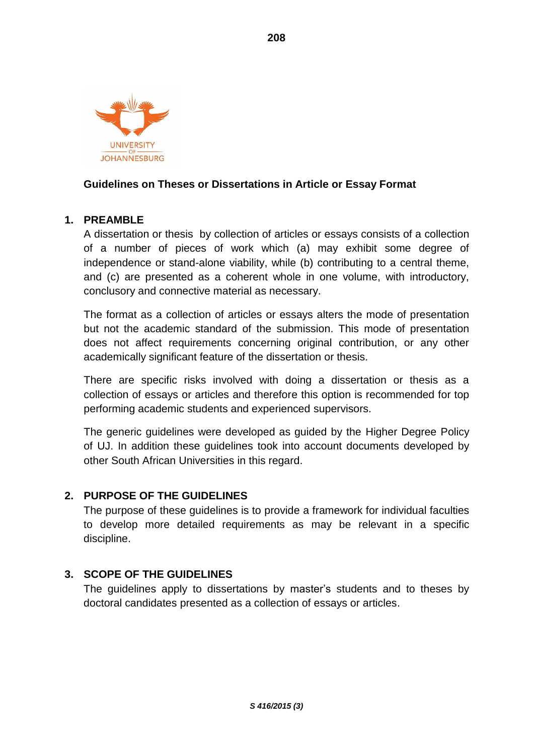

## **Guidelines on Theses or Dissertations in Article or Essay Format**

# **1. PREAMBLE**

A dissertation or thesis by collection of articles or essays consists of a collection of a number of pieces of work which (a) may exhibit some degree of independence or stand-alone viability, while (b) contributing to a central theme, and (c) are presented as a coherent whole in one volume, with introductory, conclusory and connective material as necessary.

The format as a collection of articles or essays alters the mode of presentation but not the academic standard of the submission. This mode of presentation does not affect requirements concerning original contribution, or any other academically significant feature of the dissertation or thesis.

There are specific risks involved with doing a dissertation or thesis as a collection of essays or articles and therefore this option is recommended for top performing academic students and experienced supervisors.

The generic guidelines were developed as guided by the Higher Degree Policy of UJ. In addition these guidelines took into account documents developed by other South African Universities in this regard.

#### **2. PURPOSE OF THE GUIDELINES**

The purpose of these guidelines is to provide a framework for individual faculties to develop more detailed requirements as may be relevant in a specific discipline.

#### **3. SCOPE OF THE GUIDELINES**

The guidelines apply to dissertations by master's students and to theses by doctoral candidates presented as a collection of essays or articles.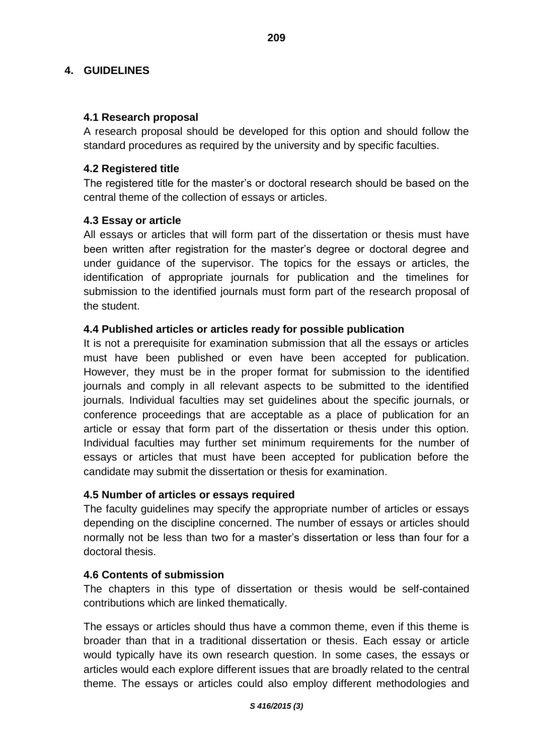### **4. GUIDELINES**

#### **4.1 Research proposal**

A research proposal should be developed for this option and should follow the standard procedures as required by the university and by specific faculties.

## **4.2 Registered title**

The registered title for the master's or doctoral research should be based on the central theme of the collection of essays or articles.

## **4.3 Essay or article**

All essays or articles that will form part of the dissertation or thesis must have been written after registration for the master's degree or doctoral degree and under guidance of the supervisor. The topics for the essays or articles, the identification of appropriate journals for publication and the timelines for submission to the identified journals must form part of the research proposal of the student.

## **4.4 Published articles or articles ready for possible publication**

It is not a prerequisite for examination submission that all the essays or articles must have been published or even have been accepted for publication. However, they must be in the proper format for submission to the identified journals and comply in all relevant aspects to be submitted to the identified journals. Individual faculties may set guidelines about the specific journals, or conference proceedings that are acceptable as a place of publication for an article or essay that form part of the dissertation or thesis under this option. Individual faculties may further set minimum requirements for the number of essays or articles that must have been accepted for publication before the candidate may submit the dissertation or thesis for examination.

# **4.5 Number of articles or essays required**

The faculty guidelines may specify the appropriate number of articles or essays depending on the discipline concerned. The number of essays or articles should normally not be less than two for a master's dissertation or less than four for a doctoral thesis.

#### **4.6 Contents of submission**

The chapters in this type of dissertation or thesis would be self-contained contributions which are linked thematically.

The essays or articles should thus have a common theme, even if this theme is broader than that in a traditional dissertation or thesis. Each essay or article would typically have its own research question. In some cases, the essays or articles would each explore different issues that are broadly related to the central theme. The essays or articles could also employ different methodologies and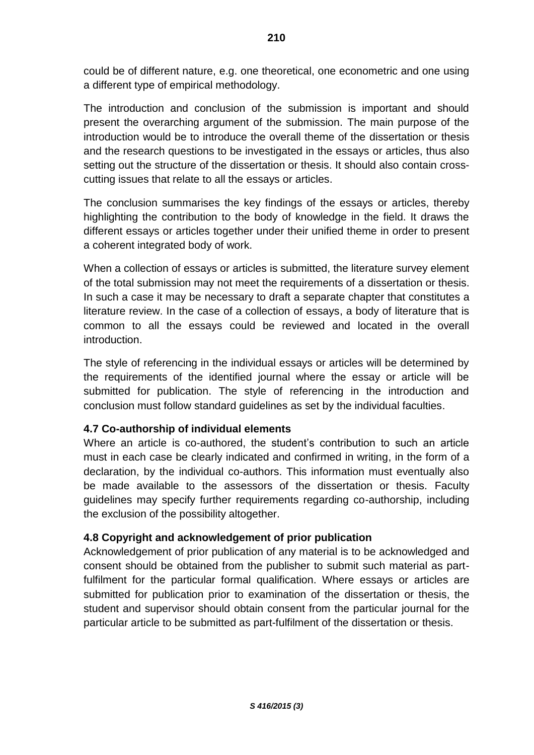could be of different nature, e.g. one theoretical, one econometric and one using a different type of empirical methodology.

The introduction and conclusion of the submission is important and should present the overarching argument of the submission. The main purpose of the introduction would be to introduce the overall theme of the dissertation or thesis and the research questions to be investigated in the essays or articles, thus also setting out the structure of the dissertation or thesis. It should also contain crosscutting issues that relate to all the essays or articles.

The conclusion summarises the key findings of the essays or articles, thereby highlighting the contribution to the body of knowledge in the field. It draws the different essays or articles together under their unified theme in order to present a coherent integrated body of work.

When a collection of essays or articles is submitted, the literature survey element of the total submission may not meet the requirements of a dissertation or thesis. In such a case it may be necessary to draft a separate chapter that constitutes a literature review. In the case of a collection of essays, a body of literature that is common to all the essays could be reviewed and located in the overall introduction.

The style of referencing in the individual essays or articles will be determined by the requirements of the identified journal where the essay or article will be submitted for publication. The style of referencing in the introduction and conclusion must follow standard guidelines as set by the individual faculties.

# **4.7 Co-authorship of individual elements**

Where an article is co-authored, the student's contribution to such an article must in each case be clearly indicated and confirmed in writing, in the form of a declaration, by the individual co-authors. This information must eventually also be made available to the assessors of the dissertation or thesis. Faculty guidelines may specify further requirements regarding co-authorship, including the exclusion of the possibility altogether.

# **4.8 Copyright and acknowledgement of prior publication**

Acknowledgement of prior publication of any material is to be acknowledged and consent should be obtained from the publisher to submit such material as partfulfilment for the particular formal qualification. Where essays or articles are submitted for publication prior to examination of the dissertation or thesis, the student and supervisor should obtain consent from the particular journal for the particular article to be submitted as part-fulfilment of the dissertation or thesis.